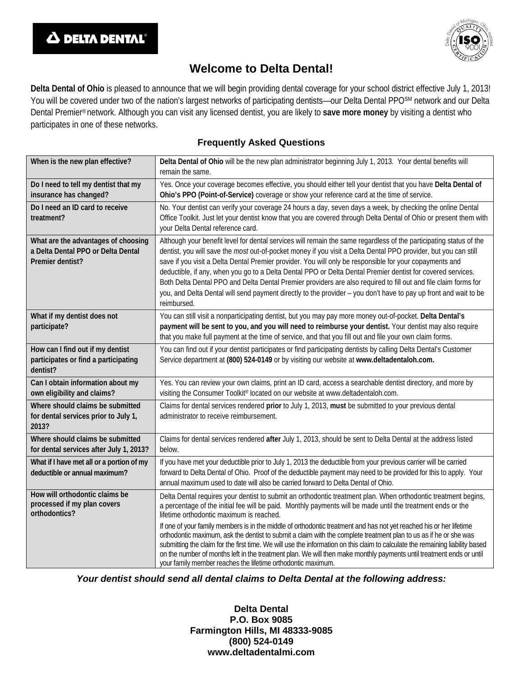



## **Welcome to Delta Dental!**

**Delta Dental of Ohio** is pleased to announce that we will begin providing dental coverage for your school district effective July 1, 2013! You will be covered under two of the nation's largest networks of participating dentists—our Delta Dental PPOSM network and our Delta Dental Premier® network. Although you can visit any licensed dentist, you are likely to **save more money** by visiting a dentist who participates in one of these networks.

## **Frequently Asked Questions**

| When is the new plan effective?                                                               | Delta Dental of Ohio will be the new plan administrator beginning July 1, 2013. Your dental benefits will<br>remain the same.                                                                                                                                                                                                                                                                                                                                                                                                                                                                                                                                                                                         |
|-----------------------------------------------------------------------------------------------|-----------------------------------------------------------------------------------------------------------------------------------------------------------------------------------------------------------------------------------------------------------------------------------------------------------------------------------------------------------------------------------------------------------------------------------------------------------------------------------------------------------------------------------------------------------------------------------------------------------------------------------------------------------------------------------------------------------------------|
| Do I need to tell my dentist that my<br>insurance has changed?                                | Yes. Once your coverage becomes effective, you should either tell your dentist that you have Delta Dental of<br>Ohio's PPO (Point-of-Service) coverage or show your reference card at the time of service.                                                                                                                                                                                                                                                                                                                                                                                                                                                                                                            |
| Do I need an ID card to receive<br>treatment?                                                 | No. Your dentist can verify your coverage 24 hours a day, seven days a week, by checking the online Dental<br>Office Toolkit. Just let your dentist know that you are covered through Delta Dental of Ohio or present them with<br>your Delta Dental reference card.                                                                                                                                                                                                                                                                                                                                                                                                                                                  |
| What are the advantages of choosing<br>a Delta Dental PPO or Delta Dental<br>Premier dentist? | Although your benefit level for dental services will remain the same regardless of the participating status of the<br>dentist, you will save the most out-of-pocket money if you visit a Delta Dental PPO provider, but you can still<br>save if you visit a Delta Dental Premier provider. You will only be responsible for your copayments and<br>deductible, if any, when you go to a Delta Dental PPO or Delta Dental Premier dentist for covered services.<br>Both Delta Dental PPO and Delta Dental Premier providers are also required to fill out and file claim forms for<br>you, and Delta Dental will send payment directly to the provider - you don't have to pay up front and wait to be<br>reimbursed. |
| What if my dentist does not<br>participate?                                                   | You can still visit a nonparticipating dentist, but you may pay more money out-of-pocket. Delta Dental's<br>payment will be sent to you, and you will need to reimburse your dentist. Your dentist may also require<br>that you make full payment at the time of service, and that you fill out and file your own claim forms.                                                                                                                                                                                                                                                                                                                                                                                        |
| How can I find out if my dentist<br>participates or find a participating<br>dentist?          | You can find out if your dentist participates or find participating dentists by calling Delta Dental's Customer<br>Service department at (800) 524-0149 or by visiting our website at www.deltadentaloh.com.                                                                                                                                                                                                                                                                                                                                                                                                                                                                                                          |
| Can I obtain information about my<br>own eligibility and claims?                              | Yes. You can review your own claims, print an ID card, access a searchable dentist directory, and more by<br>visiting the Consumer Toolkit® located on our website at www.deltadentaloh.com.                                                                                                                                                                                                                                                                                                                                                                                                                                                                                                                          |
| Where should claims be submitted<br>for dental services prior to July 1,<br>2013?             | Claims for dental services rendered prior to July 1, 2013, must be submitted to your previous dental<br>administrator to receive reimbursement.                                                                                                                                                                                                                                                                                                                                                                                                                                                                                                                                                                       |
| Where should claims be submitted<br>for dental services after July 1, 2013?                   | Claims for dental services rendered after July 1, 2013, should be sent to Delta Dental at the address listed<br>below.                                                                                                                                                                                                                                                                                                                                                                                                                                                                                                                                                                                                |
| What if I have met all or a portion of my<br>deductible or annual maximum?                    | If you have met your deductible prior to July 1, 2013 the deductible from your previous carrier will be carried<br>forward to Delta Dental of Ohio. Proof of the deductible payment may need to be provided for this to apply. Your<br>annual maximum used to date will also be carried forward to Delta Dental of Ohio.                                                                                                                                                                                                                                                                                                                                                                                              |
| How will orthodontic claims be<br>processed if my plan covers<br>orthodontics?                | Delta Dental requires your dentist to submit an orthodontic treatment plan. When orthodontic treatment begins,<br>a percentage of the initial fee will be paid. Monthly payments will be made until the treatment ends or the<br>lifetime orthodontic maximum is reached.                                                                                                                                                                                                                                                                                                                                                                                                                                             |
|                                                                                               | If one of your family members is in the middle of orthodontic treatment and has not yet reached his or her lifetime<br>orthodontic maximum, ask the dentist to submit a claim with the complete treatment plan to us as if he or she was<br>submitting the claim for the first time. We will use the information on this claim to calculate the remaining liability based<br>on the number of months left in the treatment plan. We will then make monthly payments until treatment ends or until<br>your family member reaches the lifetime orthodontic maximum.                                                                                                                                                     |

*Your dentist should send all dental claims to Delta Dental at the following address:*

**Delta Dental P.O. Box 9085 Farmington Hills, MI 48333-9085 (800) 524-0149 www.deltadentalmi.com**